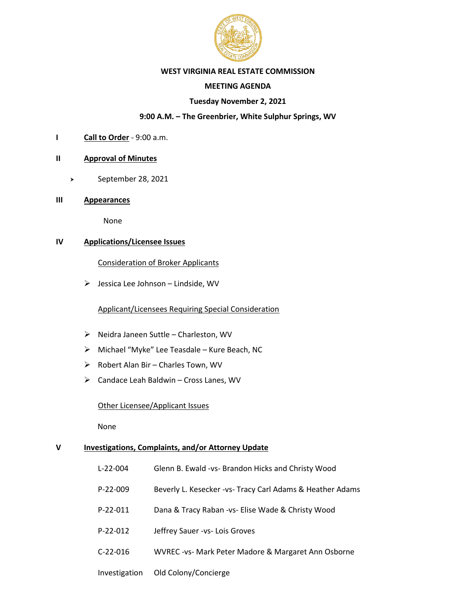

### **WEST VIRGINIA REAL ESTATE COMMISSION**

# **MEETING AGENDA**

# **Tuesday November 2, 2021**

# **9:00 A.M. – The Greenbrier, White Sulphur Springs, WV**

**I Call to Order** - 9:00 a.m.

# **II Approval of Minutes**

- September 28, 2021
- **III Appearances**

None

# **IV Applications/Licensee Issues**

Consideration of Broker Applicants

 $\triangleright$  Jessica Lee Johnson – Lindside, WV

## Applicant/Licensees Requiring Special Consideration

- ➢ Neidra Janeen Suttle Charleston, WV
- ➢ Michael "Myke" Lee Teasdale Kure Beach, NC
- ➢ Robert Alan Bir Charles Town, WV
- ➢ Candace Leah Baldwin Cross Lanes, WV

#### Other Licensee/Applicant Issues

None

#### **V Investigations, Complaints, and/or Attorney Update**

- L-22-004 Glenn B. Ewald -vs- Brandon Hicks and Christy Wood
- P-22-009 Beverly L. Kesecker -vs- Tracy Carl Adams & Heather Adams
- P-22-011 Dana & Tracy Raban -vs- Elise Wade & Christy Wood
- P-22-012 Jeffrey Sauer -vs- Lois Groves
- C-22-016 WVREC -vs- Mark Peter Madore & Margaret Ann Osborne

#### Investigation Old Colony/Concierge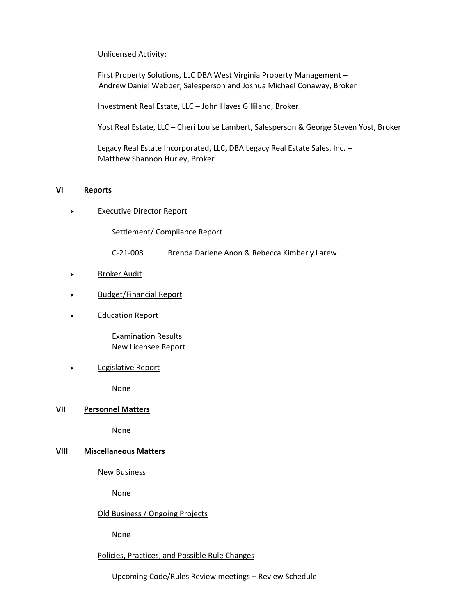#### Unlicensed Activity:

First Property Solutions, LLC DBA West Virginia Property Management – Andrew Daniel Webber, Salesperson and Joshua Michael Conaway, Broker

Investment Real Estate, LLC – John Hayes Gilliland, Broker

Yost Real Estate, LLC – Cheri Louise Lambert, Salesperson & George Steven Yost, Broker

Legacy Real Estate Incorporated, LLC, DBA Legacy Real Estate Sales, Inc. – Matthew Shannon Hurley, Broker

#### **VI Reports**

Executive Director Report

Settlement/ Compliance Report

- C-21-008 Brenda Darlene Anon & Rebecca Kimberly Larew
- > Broker Audit
- > Budget/Financial Report
- Education Report

Examination Results New Licensee Report

#### > Legislative Report

None

#### **VII Personnel Matters**

None

# **VIII Miscellaneous Matters**

#### New Business

None

# Old Business / Ongoing Projects

None

### Policies, Practices, and Possible Rule Changes

Upcoming Code/Rules Review meetings – Review Schedule